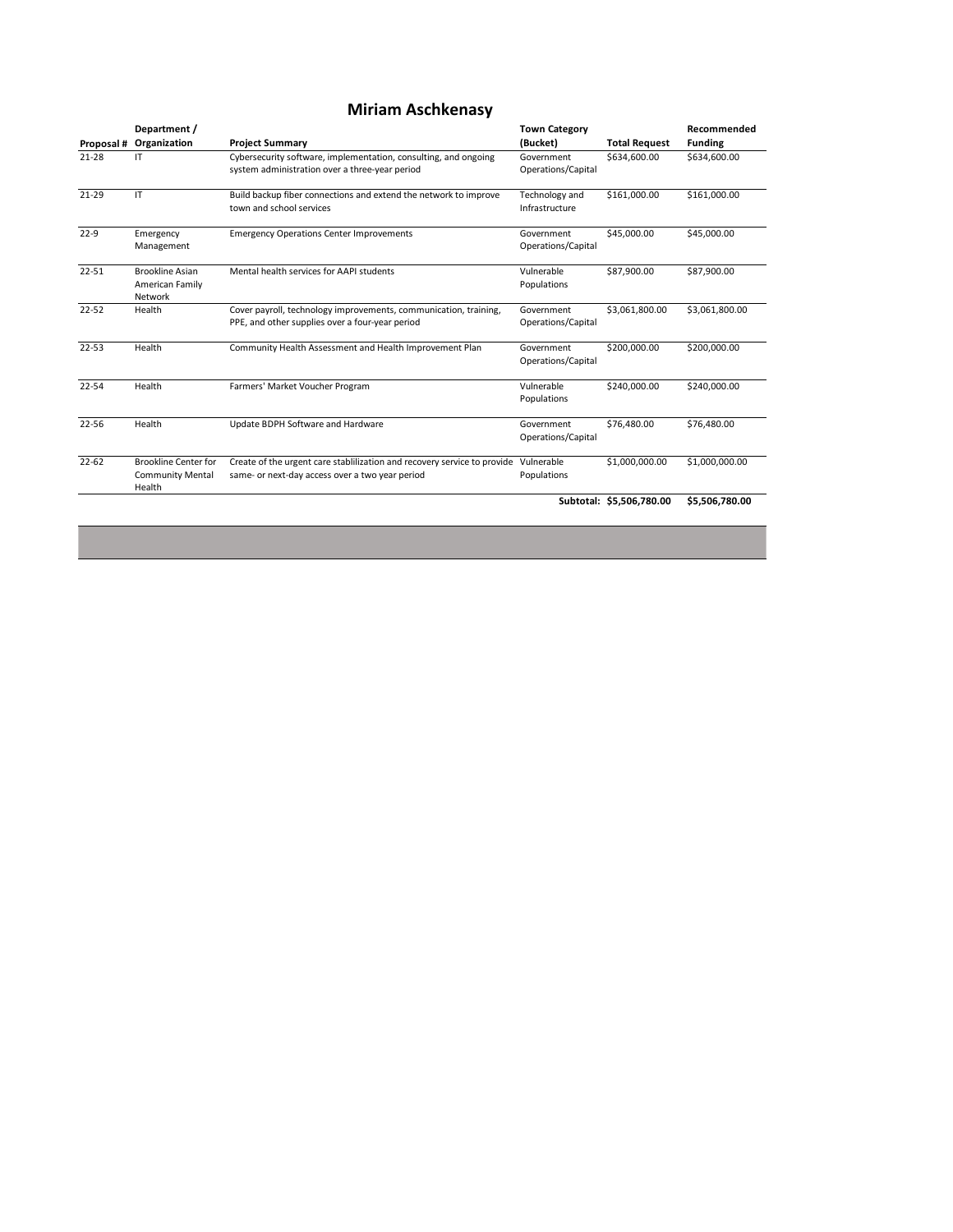|                   | Department /                                                       |                                                                                                                     | <b>Town Category</b>             |                      | Recommended    |
|-------------------|--------------------------------------------------------------------|---------------------------------------------------------------------------------------------------------------------|----------------------------------|----------------------|----------------|
| <b>Proposal #</b> | Organization                                                       | <b>Project Summary</b>                                                                                              | (Bucket)                         | <b>Total Request</b> | <b>Funding</b> |
| $21 - 28$         | IT                                                                 | Cybersecurity software, implementation, consulting, and ongoing<br>system administration over a three-year period   | Government<br>Operations/Capital | \$634,600.00         | \$634,600.00   |
| $21 - 29$         | $\mathsf{I}\mathsf{T}$                                             | Build backup fiber connections and extend the network to improve<br>town and school services                        | Technology and<br>Infrastructure | \$161,000.00         | \$161,000.00   |
| $22 - 9$          | Emergency<br>Management                                            | <b>Emergency Operations Center Improvements</b>                                                                     | Government<br>Operations/Capital | \$45,000.00          | \$45,000.00    |
| $22 - 51$         | <b>Brookline Asian</b><br><b>American Family</b><br><b>Network</b> | Mental health services for AAPI students                                                                            | Vulnerable<br>Populations        | \$87,900.00          | \$87,900.00    |
| $22 - 52$         | <b>Health</b>                                                      | Cover payroll, technology improvements, communication, training,<br>PPE, and other supplies over a four-year period | Government<br>Operations/Capital | \$3,061,800.00       | \$3,061,800.00 |
| $22 - 53$         | <b>Health</b>                                                      | <b>Community Health Assessment and Health Improvement Plan</b>                                                      | Government<br>Operations/Capital | \$200,000.00         | \$200,000.00   |
| $22 - 54$         | <b>Health</b>                                                      | Farmers' Market Voucher Program                                                                                     | Vulnerable<br>Populations        | \$240,000.00         | \$240,000.00   |
| 22-56             | <b>Health</b>                                                      | <b>Update BDPH Software and Hardware</b>                                                                            | Government<br>Operations/Capital | \$76,480.00          | \$76,480.00    |

| 22-62 | <b>Brookline Center for</b> | Create of the urgent care stablilization and recovery service to provide Vulnerable |                    | \$1,000,000.00           | \$1,000,000.00 |
|-------|-----------------------------|-------------------------------------------------------------------------------------|--------------------|--------------------------|----------------|
|       | <b>Community Mental</b>     | same- or next-day access over a two year period                                     | <b>Populations</b> |                          |                |
|       | <b>Health</b>               |                                                                                     |                    |                          |                |
|       |                             |                                                                                     |                    | Subtotal: \$5,506,780.00 | \$5,506,780.00 |
|       |                             |                                                                                     |                    |                          |                |

# **Miriam Aschkenasy**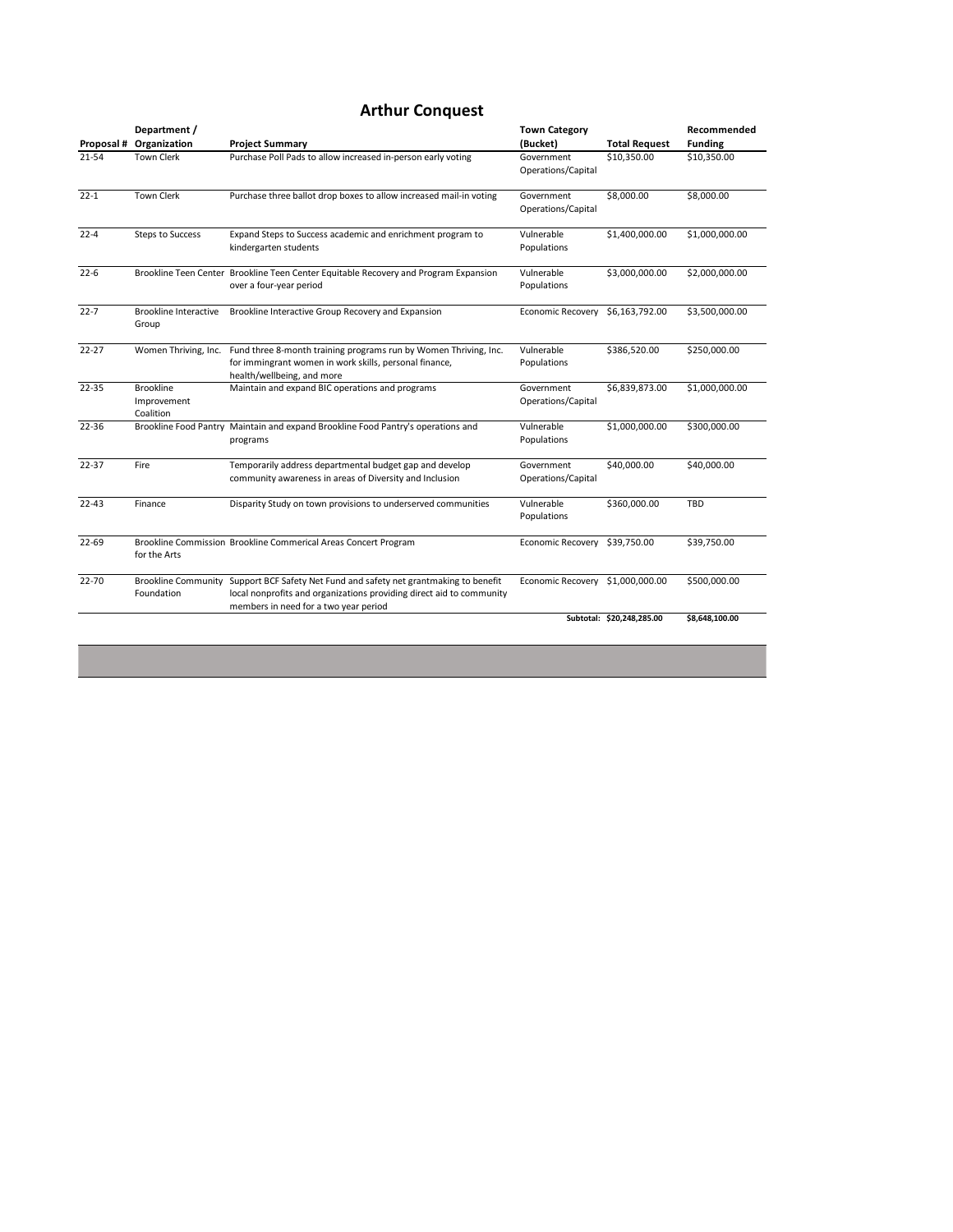|                   | Department /                 |                                                                                      | <b>Town Category</b>     |                      | Recommended    |
|-------------------|------------------------------|--------------------------------------------------------------------------------------|--------------------------|----------------------|----------------|
| <b>Proposal #</b> | Organization                 | <b>Project Summary</b>                                                               | (Bucket)                 | <b>Total Request</b> | <b>Funding</b> |
| $21 - 54$         | <b>Town Clerk</b>            | Purchase Poll Pads to allow increased in-person early voting                         | Government               | \$10,350.00          | \$10,350.00    |
|                   |                              |                                                                                      | Operations/Capital       |                      |                |
| $22 - 1$          | <b>Town Clerk</b>            | Purchase three ballot drop boxes to allow increased mail-in voting                   | Government               | \$8,000.00           | \$8,000.00     |
|                   |                              |                                                                                      | Operations/Capital       |                      |                |
| $22 - 4$          | <b>Steps to Success</b>      | Expand Steps to Success academic and enrichment program to                           | Vulnerable               | \$1,400,000.00       | \$1,000,000.00 |
|                   |                              | kindergarten students                                                                | Populations              |                      |                |
| $22 - 6$          |                              | Brookline Teen Center Brookline Teen Center Equitable Recovery and Program Expansion | Vulnerable               | \$3,000,000.00       | \$2,000,000.00 |
|                   |                              | over a four-year period                                                              | Populations              |                      |                |
| $22 - 7$          | <b>Brookline Interactive</b> | Brookline Interactive Group Recovery and Expansion                                   | <b>Economic Recovery</b> | \$6,163,792.00       | \$3,500,000.00 |
|                   | Group                        |                                                                                      |                          |                      |                |
| $22 - 27$         | Women Thriving, Inc.         | Fund three 8-month training programs run by Women Thriving, Inc.                     | Vulnerable               | \$386,520.00         | \$250,000.00   |
|                   |                              | for immingrant women in work skills, personal finance,                               | Populations              |                      |                |
|                   |                              | health/wellbeing, and more                                                           |                          |                      |                |
| $22 - 35$         | <b>Brookline</b>             | Maintain and expand BIC operations and programs                                      | Government               | \$6,839,873.00       | \$1,000,000.00 |
|                   | Improvement                  |                                                                                      | Operations/Capital       |                      |                |
|                   | Coalition                    |                                                                                      |                          |                      |                |
| 22-36             |                              | Brookline Food Pantry Maintain and expand Brookline Food Pantry's operations and     | Vulnerable               | \$1,000,000.00       | \$300,000.00   |
|                   |                              | programs                                                                             | Populations              |                      |                |

| 22-37     | <b>Fire</b>                              | Temporarily address departmental budget gap and develop<br>community awareness in areas of Diversity and Inclusion                                                                 | Government<br>Operations/Capital | \$40,000.00               | \$40,000.00    |
|-----------|------------------------------------------|------------------------------------------------------------------------------------------------------------------------------------------------------------------------------------|----------------------------------|---------------------------|----------------|
| $22 - 43$ | Finance                                  | Disparity Study on town provisions to underserved communities                                                                                                                      | Vulnerable<br>Populations        | \$360,000.00              | TBD            |
| 22-69     | for the Arts                             | Brookline Commission Brookline Commerical Areas Concert Program                                                                                                                    | <b>Economic Recovery</b>         | \$39,750.00               | \$39,750.00    |
| $22 - 70$ | <b>Brookline Community</b><br>Foundation | Support BCF Safety Net Fund and safety net grantmaking to benefit<br>local nonprofits and organizations providing direct aid to community<br>members in need for a two year period | <b>Economic Recovery</b>         | \$1,000,000.00            | \$500,000.00   |
|           |                                          |                                                                                                                                                                                    |                                  | Subtotal: \$20,248,285.00 | \$8,648,100.00 |

### **Arthur Conquest**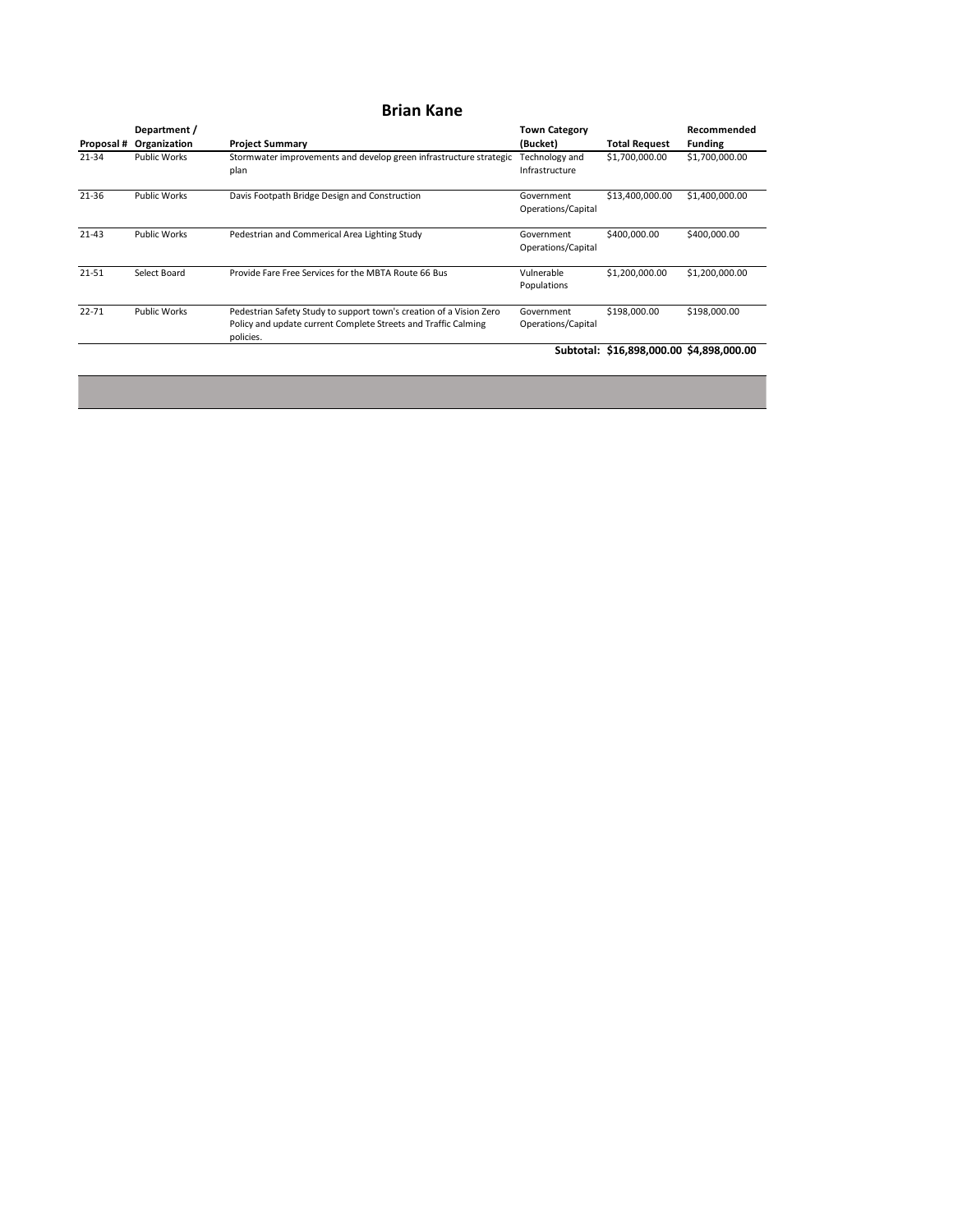|                   | Department /        |                                                                                                                                                    | <b>Town Category</b>                    |                                          | Recommended    |
|-------------------|---------------------|----------------------------------------------------------------------------------------------------------------------------------------------------|-----------------------------------------|------------------------------------------|----------------|
| <b>Proposal #</b> | Organization        | <b>Project Summary</b>                                                                                                                             | (Bucket)                                | <b>Total Request</b>                     | <b>Funding</b> |
| $21 - 34$         | <b>Public Works</b> | Stormwater improvements and develop green infrastructure strategic<br>plan                                                                         | <b>Fechnology and</b><br>Infrastructure | \$1,700,000.00                           | \$1,700,000.00 |
| 21-36             | <b>Public Works</b> | Davis Footpath Bridge Design and Construction                                                                                                      | Government<br>Operations/Capital        | \$13,400,000.00                          | \$1,400,000.00 |
| $21 - 43$         | <b>Public Works</b> | Pedestrian and Commerical Area Lighting Study                                                                                                      | Government<br>Operations/Capital        | \$400,000.00                             | \$400,000.00   |
| $21 - 51$         | <b>Select Board</b> | Provide Fare Free Services for the MBTA Route 66 Bus                                                                                               | Vulnerable<br>Populations               | \$1,200,000.00                           | \$1,200,000.00 |
| $22 - 71$         | <b>Public Works</b> | Pedestrian Safety Study to support town's creation of a Vision Zero<br>Policy and update current Complete Streets and Traffic Calming<br>policies. | Government<br>Operations/Capital        | \$198,000.00                             | \$198,000.00   |
|                   |                     |                                                                                                                                                    |                                         | Subtotal: \$16,898,000.00 \$4,898,000.00 |                |

#### **Brian Kane**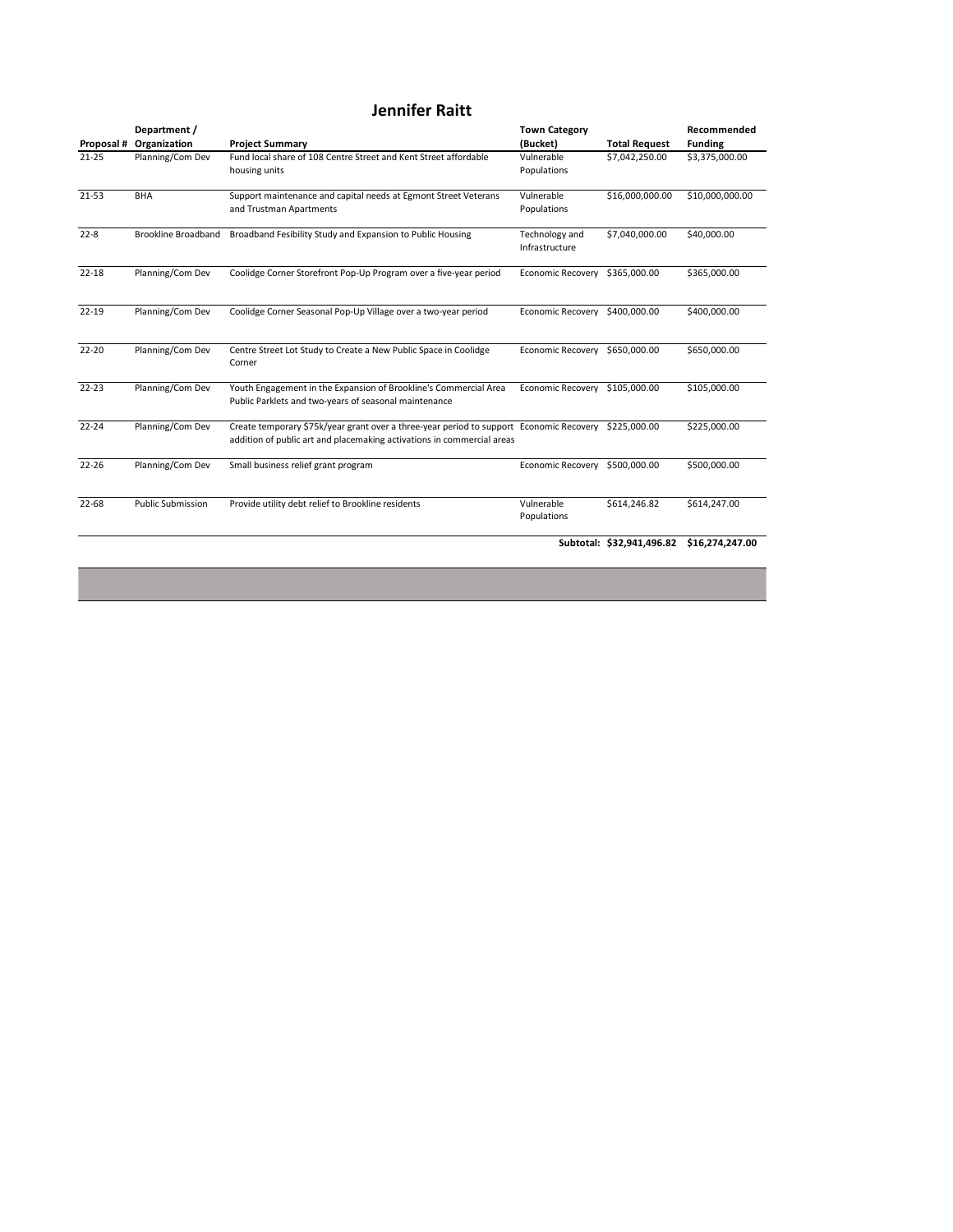|                   | Department /               |                                                                                                                                                                   | <b>Town Category</b>             |                      | Recommended     |
|-------------------|----------------------------|-------------------------------------------------------------------------------------------------------------------------------------------------------------------|----------------------------------|----------------------|-----------------|
| <b>Proposal #</b> | Organization               | <b>Project Summary</b>                                                                                                                                            | (Bucket)                         | <b>Total Request</b> | <b>Funding</b>  |
| $21 - 25$         | Planning/Com Dev           | Fund local share of 108 Centre Street and Kent Street affordable<br>housing units                                                                                 | Vulnerable<br>Populations        | \$7,042,250.00       | \$3,375,000.00  |
| 21-53             | <b>BHA</b>                 | Support maintenance and capital needs at Egmont Street Veterans<br>and Trustman Apartments                                                                        | Vulnerable<br>Populations        | \$16,000,000.00      | \$10,000,000.00 |
| $22 - 8$          | <b>Brookline Broadband</b> | Broadband Fesibility Study and Expansion to Public Housing                                                                                                        | Technology and<br>Infrastructure | \$7,040,000.00       | \$40,000.00     |
| $22 - 18$         | Planning/Com Dev           | Coolidge Corner Storefront Pop-Up Program over a five-year period                                                                                                 | <b>Economic Recovery</b>         | \$365,000.00         | \$365,000.00    |
| $22 - 19$         | Planning/Com Dev           | Coolidge Corner Seasonal Pop-Up Village over a two-year period                                                                                                    | <b>Economic Recovery</b>         | \$400,000.00         | \$400,000.00    |
| $22 - 20$         | Planning/Com Dev           | Centre Street Lot Study to Create a New Public Space in Coolidge<br>Corner                                                                                        | Economic Recovery                | \$650,000.00         | \$650,000.00    |
| $22 - 23$         | Planning/Com Dev           | Youth Engagement in the Expansion of Brookline's Commercial Area<br>Public Parklets and two-years of seasonal maintenance                                         | <b>Economic Recovery</b>         | \$105,000.00         | \$105,000.00    |
| $22 - 24$         | <b>Planning/Com Dev</b>    | Create temporary \$75k/year grant over a three-year period to support Economic Recovery<br>addition of public art and placemaking activations in commercial areas |                                  | \$225,000.00         | \$225,000.00    |

| $22 - 26$ | Planning/Com Dev         | Small business relief grant program                | Economic Recovery \$500,000.00 |              | \$500,000.00                              |
|-----------|--------------------------|----------------------------------------------------|--------------------------------|--------------|-------------------------------------------|
| 22-68     | <b>Public Submission</b> | Provide utility debt relief to Brookline residents | Vulnerable<br>Populations      | \$614,246.82 | \$614,247.00                              |
|           |                          |                                                    |                                |              | Subtotal: \$32,941,496.82 \$16,274,247.00 |
|           |                          |                                                    |                                |              |                                           |

# **Jennifer Raitt**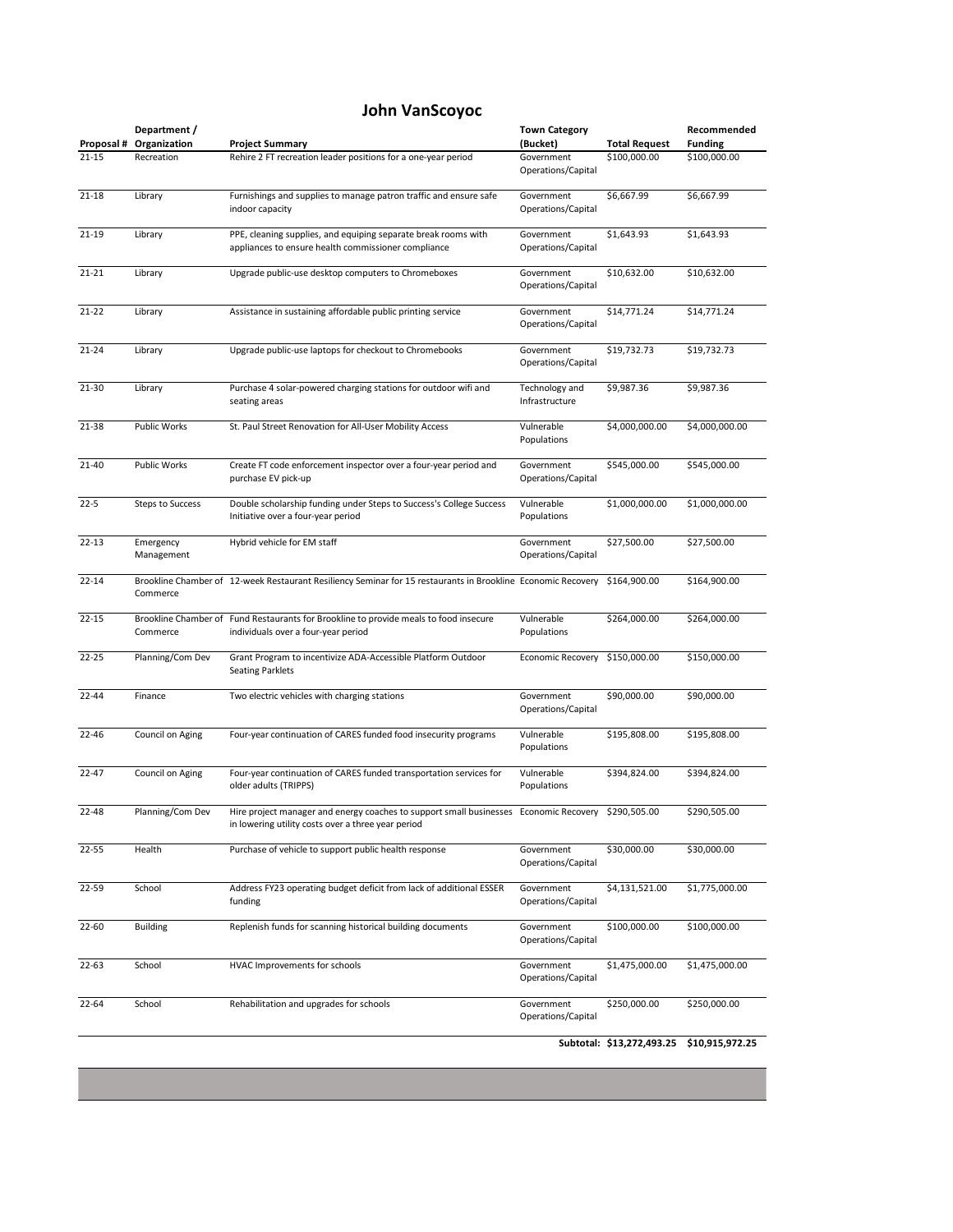|                   | Department /            |                                                                                                                                             | <b>Town Category</b>             |                      | Recommended    |
|-------------------|-------------------------|---------------------------------------------------------------------------------------------------------------------------------------------|----------------------------------|----------------------|----------------|
| <b>Proposal #</b> | Organization            | <b>Project Summary</b>                                                                                                                      | (Bucket)                         | <b>Total Request</b> | <b>Funding</b> |
| $21 - 15$         | Recreation              | Rehire 2 FT recreation leader positions for a one-year period                                                                               | Government<br>Operations/Capital | \$100,000.00         | \$100,000.00   |
| $21 - 18$         | Library                 | Furnishings and supplies to manage patron traffic and ensure safe<br>indoor capacity                                                        | Government<br>Operations/Capital | \$6,667.99           | \$6,667.99     |
| $21 - 19$         | Library                 | PPE, cleaning supplies, and equiping separate break rooms with<br>appliances to ensure health commissioner compliance                       | Government<br>Operations/Capital | \$1,643.93           | \$1,643.93     |
| $21 - 21$         | Library                 | Upgrade public-use desktop computers to Chromeboxes                                                                                         | Government<br>Operations/Capital | \$10,632.00          | \$10,632.00    |
| $21 - 22$         | Library                 | Assistance in sustaining affordable public printing service                                                                                 | Government<br>Operations/Capital | \$14,771.24          | \$14,771.24    |
| $21 - 24$         | Library                 | Upgrade public-use laptops for checkout to Chromebooks                                                                                      | Government<br>Operations/Capital | \$19,732.73          | \$19,732.73    |
| 21-30             | Library                 | Purchase 4 solar-powered charging stations for outdoor wifi and<br>seating areas                                                            | Technology and<br>Infrastructure | \$9,987.36           | \$9,987.36     |
| 21-38             | <b>Public Works</b>     | St. Paul Street Renovation for All-User Mobility Access                                                                                     | Vulnerable<br>Populations        | \$4,000,000.00       | \$4,000,000.00 |
| 21-40             | <b>Public Works</b>     | Create FT code enforcement inspector over a four-year period and<br>purchase EV pick-up                                                     | Government<br>Operations/Capital | \$545,000.00         | \$545,000.00   |
| $22 - 5$          | <b>Steps to Success</b> | Double scholarship funding under Steps to Success's College Success<br>Initiative over a four-year period                                   | Vulnerable<br>Populations        | \$1,000,000.00       | \$1,000,000.00 |
| $22 - 13$         | Emergency<br>Management | Hybrid vehicle for EM staff                                                                                                                 | Government<br>Operations/Capital | \$27,500.00          | \$27,500.00    |
| $22 - 14$         | Commerce                | Brookline Chamber of 12-week Restaurant Resiliency Seminar for 15 restaurants in Brookline Economic Recovery                                |                                  | \$164,900.00         | \$164,900.00   |
| $22 - 15$         | Commerce                | Brookline Chamber of Fund Restaurants for Brookline to provide meals to food insecure<br>individuals over a four-year period                | Vulnerable<br>Populations        | \$264,000.00         | \$264,000.00   |
| $22 - 25$         | Planning/Com Dev        | Grant Program to incentivize ADA-Accessible Platform Outdoor<br><b>Seating Parklets</b>                                                     | <b>Economic Recovery</b>         | \$150,000.00         | \$150,000.00   |
| $22 - 44$         | Finance                 | Two electric vehicles with charging stations                                                                                                | Government<br>Operations/Capital | \$90,000.00          | \$90,000.00    |
| 22-46             | <b>Council on Aging</b> | Four-year continuation of CARES funded food insecurity programs                                                                             | Vulnerable<br>Populations        | \$195,808.00         | \$195,808.00   |
| $22 - 47$         | <b>Council on Aging</b> | Four-year continuation of CARES funded transportation services for<br>older adults (TRIPPS)                                                 | Vulnerable<br>Populations        | \$394,824.00         | \$394,824.00   |
| 22-48             | Planning/Com Dev        | Hire project manager and energy coaches to support small businesses Economic Recovery<br>in lowering utility costs over a three year period |                                  | \$290,505.00         | \$290,505.00   |
| $22 - 55$         | Health                  | Purchase of vehicle to support public health response                                                                                       | Government<br>Operations/Capital | \$30,000.00          | \$30,000.00    |
| 22-59             | School                  | Address FY23 operating budget deficit from lack of additional ESSER<br>funding                                                              | Government<br>Operations/Capital | \$4,131,521.00       | \$1,775,000.00 |
| 22-60             | <b>Building</b>         | Replenish funds for scanning historical building documents                                                                                  | Government<br>Operations/Capital | \$100,000.00         | \$100,000.00   |
| 22-63             | School                  | HVAC Improvements for schools                                                                                                               | Government<br>Operations/Capital | \$1,475,000.00       | \$1,475,000.00 |
| $22 - 64$         | School                  | Rehabilitation and upgrades for schools                                                                                                     | Government<br>Operations/Capital | \$250,000.00         | \$250,000.00   |
|                   |                         |                                                                                                                                             |                                  |                      |                |

## **John VanScoyoc**